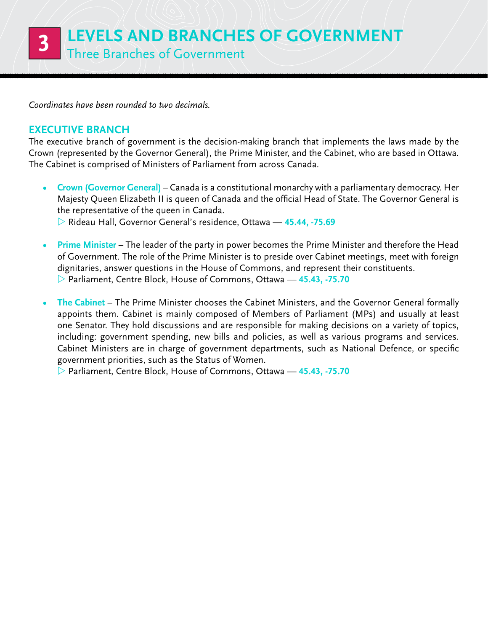*Coordinates have been rounded to two decimals.* 

## **Executive Branch**

The executive branch of government is the decision-making branch that implements the laws made by the Crown (represented by the Governor General), the Prime Minister, and the Cabinet, who are based in Ottawa. The Cabinet is comprised of Ministers of Parliament from across Canada.

**Crown (Governor General)** – Canada is a constitutional monarchy with a parliamentary democracy. Her Majesty Queen Elizabeth II is queen of Canada and the official Head of State. The Governor General is the representative of the queen in Canada.

Z Rideau Hall, Governor General's residence, Ottawa — **45.44, -75.69**

- **Prime Minister** The leader of the party in power becomes the Prime Minister and therefore the Head of Government. The role of the Prime Minister is to preside over Cabinet meetings, meet with foreign dignitaries, answer questions in the House of Commons, and represent their constituents. Z Parliament, Centre Block, House of Commons, Ottawa — **45.43, -75.70**
- The Cabinet The Prime Minister chooses the Cabinet Ministers, and the Governor General formally appoints them. Cabinet is mainly composed of Members of Parliament (MPs) and usually at least one Senator. They hold discussions and are responsible for making decisions on a variety of topics, including: government spending, new bills and policies, as well as various programs and services. Cabinet Ministers are in charge of government departments, such as National Defence, or specific government priorities, such as the Status of Women.

Z Parliament, Centre Block, House of Commons, Ottawa — **45.43, -75.70**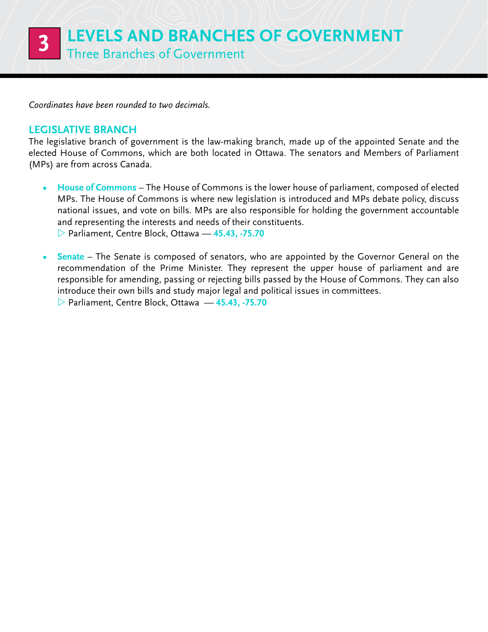*Coordinates have been rounded to two decimals.* 

## **Legislative Branch**

The legislative branch of government is the law-making branch, made up of the appointed Senate and the elected House of Commons, which are both located in Ottawa. The senators and Members of Parliament (MPs) are from across Canada.

- **House of Commons** The House of Commons is the lower house of parliament, composed of elected MPs. The House of Commons is where new legislation is introduced and MPs debate policy, discuss national issues, and vote on bills. MPs are also responsible for holding the government accountable and representing the interests and needs of their constituents. Z Parliament, Centre Block, Ottawa — **45.43, -75.70**
- **Senate** The Senate is composed of senators, who are appointed by the Governor General on the recommendation of the Prime Minister. They represent the upper house of parliament and are responsible for amending, passing or rejecting bills passed by the House of Commons. They can also introduce their own bills and study major legal and political issues in committees.
	- Z Parliament, Centre Block, Ottawa **45.43, -75.70**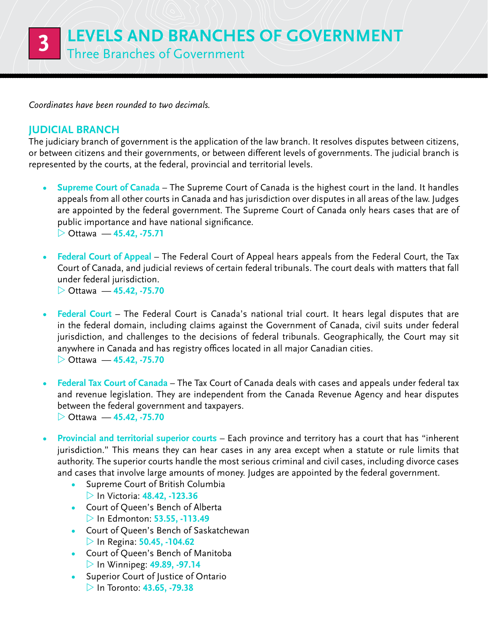*Coordinates have been rounded to two decimals.* 

## **Judicial Branch**

The judiciary branch of government is the application of the law branch. It resolves disputes between citizens, or between citizens and their governments, or between different levels of governments. The judicial branch is represented by the courts, at the federal, provincial and territorial levels.

- **Supreme Court of Canada** The Supreme Court of Canada is the highest court in the land. It handles appeals from all other courts in Canada and has jurisdiction over disputes in all areas of the law. Judges are appointed by the federal government. The Supreme Court of Canada only hears cases that are of public importance and have national significance. Z Ottawa — **45.42, -75.71**
- **Federal Court of Appeal** The Federal Court of Appeal hears appeals from the Federal Court, the Tax Court of Canada, and judicial reviews of certain federal tribunals. The court deals with matters that fall under federal jurisdiction.

Z Ottawa — **45.42, -75.70**

- **Federal Court** The Federal Court is Canada's national trial court. It hears legal disputes that are in the federal domain, including claims against the Government of Canada, civil suits under federal jurisdiction, and challenges to the decisions of federal tribunals. Geographically, the Court may sit anywhere in Canada and has registry offices located in all major Canadian cities. Z Ottawa — **45.42, -75.70**
- **Federal Tax Court of Canada** The Tax Court of Canada deals with cases and appeals under federal tax and revenue legislation. They are independent from the Canada Revenue Agency and hear disputes between the federal government and taxpayers. Z Ottawa — **45.42, -75.70**
- **Provincial and territorial superior courts** Each province and territory has a court that has "inherent" jurisdiction." This means they can hear cases in any area except when a statute or rule limits that authority. The superior courts handle the most serious criminal and civil cases, including divorce cases and cases that involve large amounts of money. Judges are appointed by the federal government.
	- **•**  Supreme Court of British Columbia
	- Z In Victoria: **48.42, -123.36 •**  Court of Queen's Bench of Alberta
	- Z In Edmonton: **53.55, -113.49**
	- **•**  Court of Queen's Bench of Saskatchewan  $>$  In Regina: **50.45, -104.62**
	- **•**  Court of Queen's Bench of Manitoba **▷ In Winnipeg: 49.89, -97.14**
	- **•**  Superior Court of Justice of Ontario Z In Toronto: **43.65, -79.38**